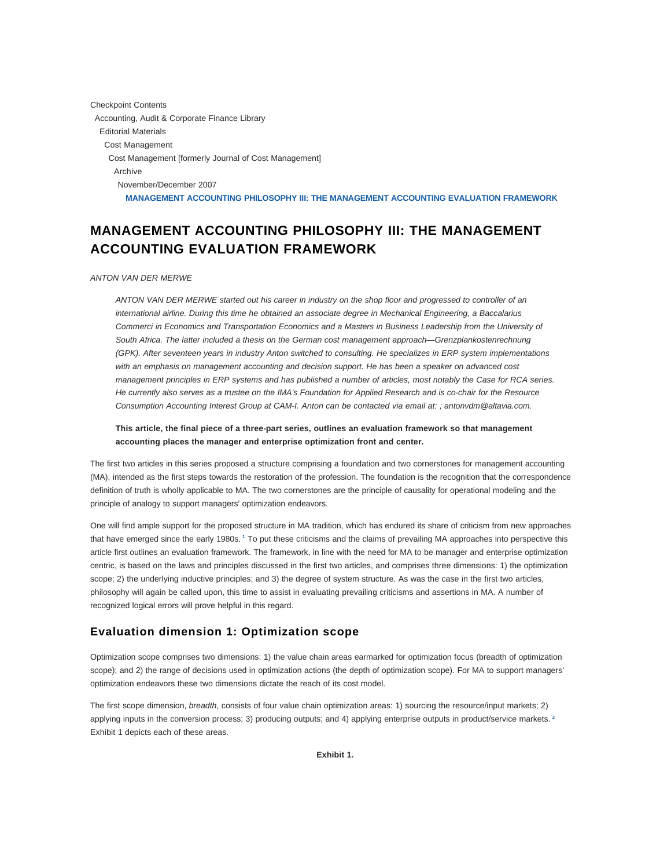Checkpoint Contents Accounting, Audit & Corporate Finance Library Editorial Materials Cost Management Cost Management [formerly Journal of Cost Management] Archive November/December 2007 **MANAGEMENT ACCOUNTING PHILOSOPHY III: THE MANAGEMENT ACCOUNTING EVALUATION FRAMEWORK**

# **MANAGEMENT ACCOUNTING PHILOSOPHY III: THE MANAGEMENT ACCOUNTING EVALUATION FRAMEWORK**

#### ANTON VAN DER MERWE

ANTON VAN DER MERWE started out his career in industry on the shop floor and progressed to controller of an international airline. During this time he obtained an associate degree in Mechanical Engineering, a Baccalarius Commerci in Economics and Transportation Economics and a Masters in Business Leadership from the University of South Africa. The latter included a thesis on the German cost management approach—Grenzplankostenrechnung (GPK). After seventeen years in industry Anton switched to consulting. He specializes in ERP system implementations with an emphasis on management accounting and decision support. He has been a speaker on advanced cost management principles in ERP systems and has published a number of articles, most notably the Case for RCA series. He currently also serves as a trustee on the IMA's Foundation for Applied Research and is co-chair for the Resource Consumption Accounting Interest Group at CAM-I. Anton can be contacted via email at: ; antonvdm@altavia.com.

### **This article, the final piece of a three-part series, outlines an evaluation framework so that management accounting places the manager and enterprise optimization front and center.**

The first two articles in this series proposed a structure comprising a foundation and two cornerstones for management accounting (MA), intended as the first steps towards the restoration of the profession. The foundation is the recognition that the correspondence definition of truth is wholly applicable to MA. The two cornerstones are the principle of causality for operational modeling and the principle of analogy to support managers' optimization endeavors.

One will find ample support for the proposed structure in MA tradition, which has endured its share of criticism from new approaches that have emerged since the early 1980s. **<sup>1</sup>** To put these criticisms and the claims of prevailing MA approaches into perspective this article first outlines an evaluation framework. The framework, in line with the need for MA to be manager and enterprise optimization centric, is based on the laws and principles discussed in the first two articles, and comprises three dimensions: 1) the optimization scope; 2) the underlying inductive principles; and 3) the degree of system structure. As was the case in the first two articles, philosophy will again be called upon, this time to assist in evaluating prevailing criticisms and assertions in MA. A number of recognized logical errors will prove helpful in this regard.

# **Evaluation dimension 1: Optimization scope**

Optimization scope comprises two dimensions: 1) the value chain areas earmarked for optimization focus (breadth of optimization scope); and 2) the range of decisions used in optimization actions (the depth of optimization scope). For MA to support managers' optimization endeavors these two dimensions dictate the reach of its cost model.

The first scope dimension, breadth, consists of four value chain optimization areas: 1) sourcing the resource/input markets; 2) applying inputs in the conversion process; 3) producing outputs; and 4) applying enterprise outputs in product/service markets. **<sup>2</sup>** Exhibit 1 depicts each of these areas.

**Exhibit 1.**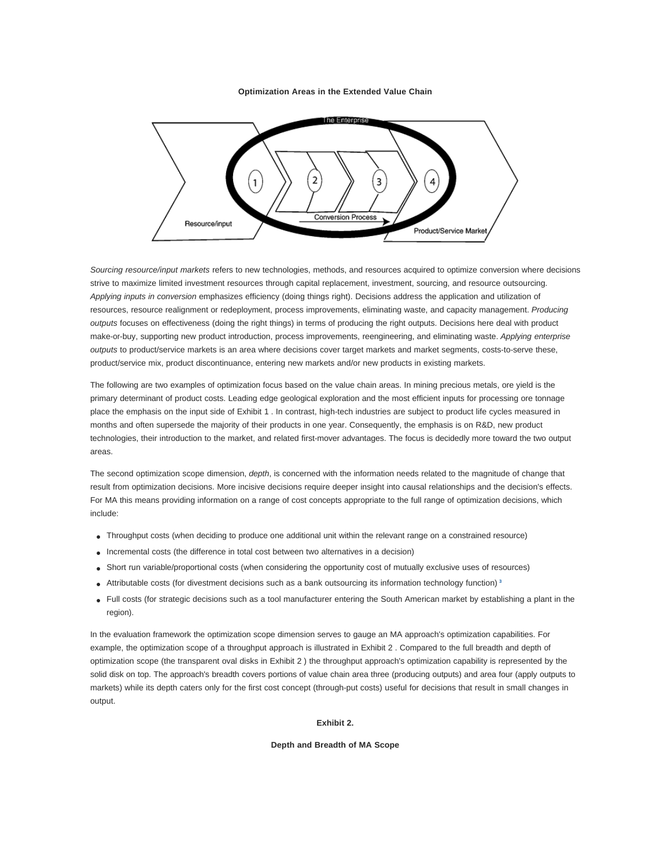#### **Optimization Areas in the Extended Value Chain**



Sourcing resource/input markets refers to new technologies, methods, and resources acquired to optimize conversion where decisions strive to maximize limited investment resources through capital replacement, investment, sourcing, and resource outsourcing. Applying inputs in conversion emphasizes efficiency (doing things right). Decisions address the application and utilization of resources, resource realignment or redeployment, process improvements, eliminating waste, and capacity management. Producing outputs focuses on effectiveness (doing the right things) in terms of producing the right outputs. Decisions here deal with product make-or-buy, supporting new product introduction, process improvements, reengineering, and eliminating waste. Applying enterprise outputs to product/service markets is an area where decisions cover target markets and market segments, costs-to-serve these, product/service mix, product discontinuance, entering new markets and/or new products in existing markets.

The following are two examples of optimization focus based on the value chain areas. In mining precious metals, ore yield is the primary determinant of product costs. Leading edge geological exploration and the most efficient inputs for processing ore tonnage place the emphasis on the input side of Exhibit 1 . In contrast, high-tech industries are subject to product life cycles measured in months and often supersede the majority of their products in one year. Consequently, the emphasis is on R&D, new product technologies, their introduction to the market, and related first-mover advantages. The focus is decidedly more toward the two output areas.

The second optimization scope dimension, *depth*, is concerned with the information needs related to the magnitude of change that result from optimization decisions. More incisive decisions require deeper insight into causal relationships and the decision's effects. For MA this means providing information on a range of cost concepts appropriate to the full range of optimization decisions, which include:

- Throughput costs (when deciding to produce one additional unit within the relevant range on a constrained resource)
- Incremental costs (the difference in total cost between two alternatives in a decision)
- Short run variable/proportional costs (when considering the opportunity cost of mutually exclusive uses of resources)
- Attributable costs (for divestment decisions such as a bank outsourcing its information technology function) **<sup>3</sup>**
- Full costs (for strategic decisions such as a tool manufacturer entering the South American market by establishing a plant in the region).

In the evaluation framework the optimization scope dimension serves to gauge an MA approach's optimization capabilities. For example, the optimization scope of a throughput approach is illustrated in Exhibit 2 . Compared to the full breadth and depth of optimization scope (the transparent oval disks in Exhibit 2 ) the throughput approach's optimization capability is represented by the solid disk on top. The approach's breadth covers portions of value chain area three (producing outputs) and area four (apply outputs to markets) while its depth caters only for the first cost concept (through-put costs) useful for decisions that result in small changes in output.

**Exhibit 2.**

#### **Depth and Breadth of MA Scope**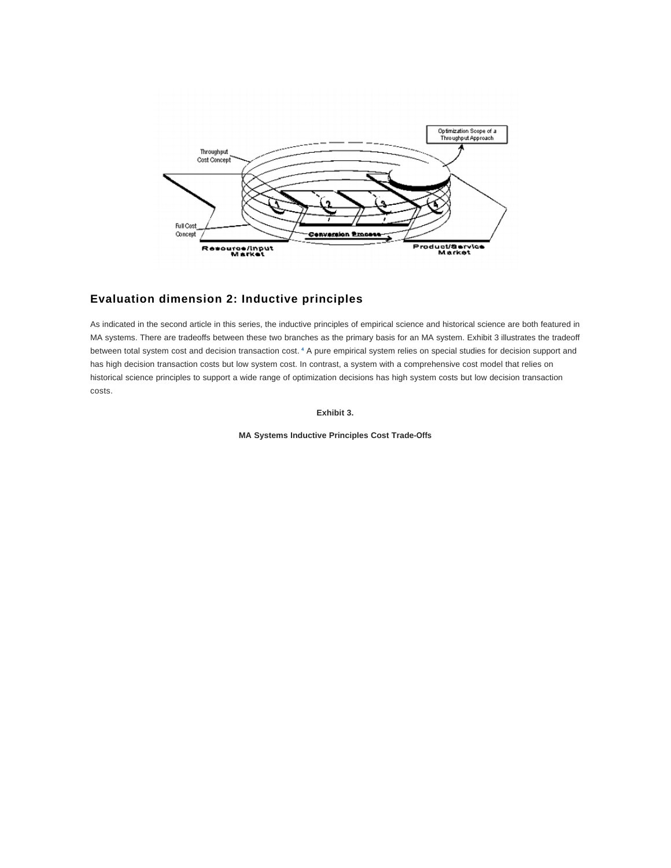

# **Evaluation dimension 2: Inductive principles**

As indicated in the second article in this series, the inductive principles of empirical science and historical science are both featured in MA systems. There are tradeoffs between these two branches as the primary basis for an MA system. Exhibit 3 illustrates the tradeoff between total system cost and decision transaction cost. <sup>4</sup> A pure empirical system relies on special studies for decision support and has high decision transaction costs but low system cost. In contrast, a system with a comprehensive cost model that relies on historical science principles to support a wide range of optimization decisions has high system costs but low decision transaction costs.

**Exhibit 3.**

**MA Systems Inductive Principles Cost Trade-Offs**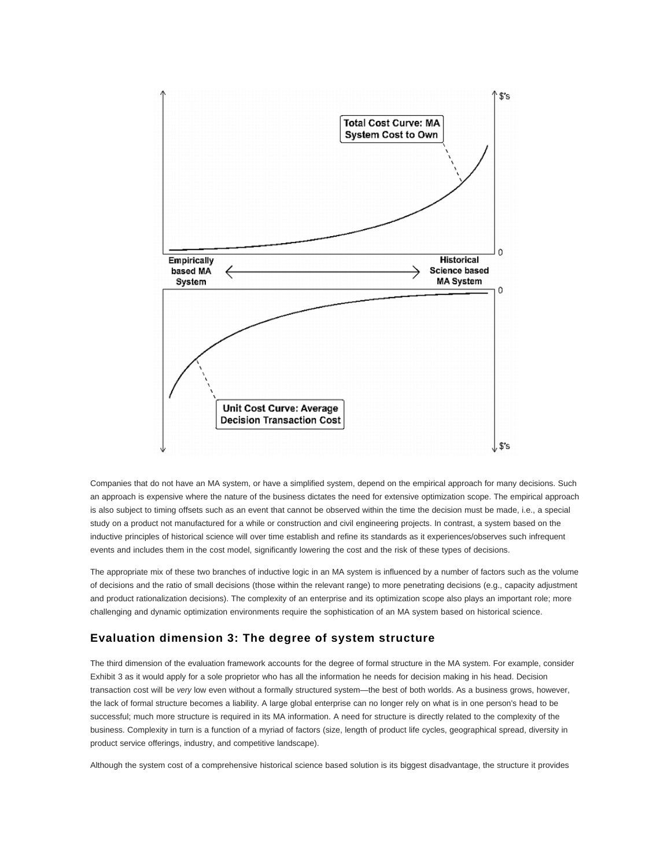

Companies that do not have an MA system, or have a simplified system, depend on the empirical approach for many decisions. Such an approach is expensive where the nature of the business dictates the need for extensive optimization scope. The empirical approach is also subject to timing offsets such as an event that cannot be observed within the time the decision must be made, i.e., a special study on a product not manufactured for a while or construction and civil engineering projects. In contrast, a system based on the inductive principles of historical science will over time establish and refine its standards as it experiences/observes such infrequent events and includes them in the cost model, significantly lowering the cost and the risk of these types of decisions.

The appropriate mix of these two branches of inductive logic in an MA system is influenced by a number of factors such as the volume of decisions and the ratio of small decisions (those within the relevant range) to more penetrating decisions (e.g., capacity adjustment and product rationalization decisions). The complexity of an enterprise and its optimization scope also plays an important role; more challenging and dynamic optimization environments require the sophistication of an MA system based on historical science.

### **Evaluation dimension 3: The degree of system structure**

The third dimension of the evaluation framework accounts for the degree of formal structure in the MA system. For example, consider Exhibit 3 as it would apply for a sole proprietor who has all the information he needs for decision making in his head. Decision transaction cost will be very low even without a formally structured system—the best of both worlds. As a business grows, however, the lack of formal structure becomes a liability. A large global enterprise can no longer rely on what is in one person's head to be successful; much more structure is required in its MA information. A need for structure is directly related to the complexity of the business. Complexity in turn is a function of a myriad of factors (size, length of product life cycles, geographical spread, diversity in product service offerings, industry, and competitive landscape).

Although the system cost of a comprehensive historical science based solution is its biggest disadvantage, the structure it provides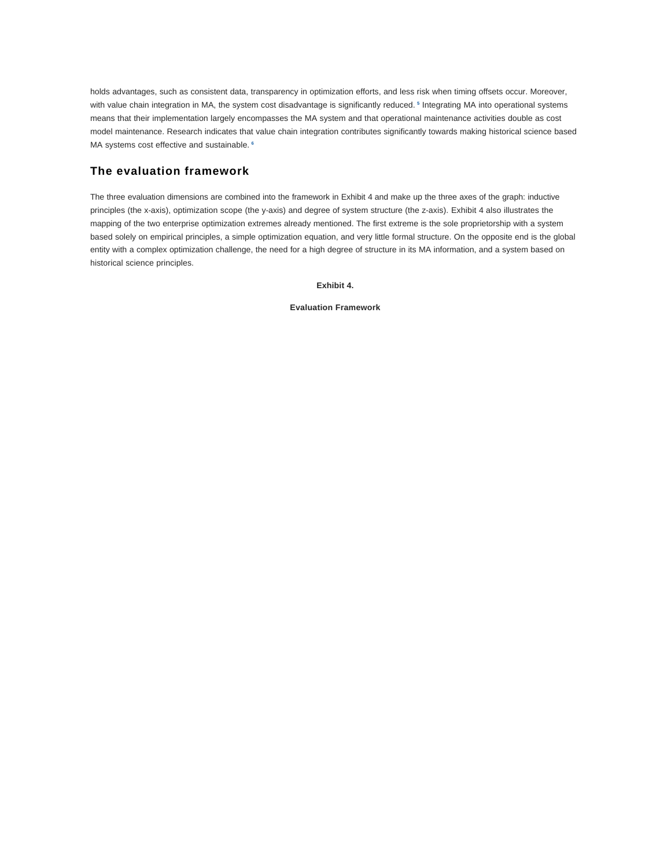holds advantages, such as consistent data, transparency in optimization efforts, and less risk when timing offsets occur. Moreover, with value chain integration in MA, the system cost disadvantage is significantly reduced.<sup>5</sup> Integrating MA into operational systems means that their implementation largely encompasses the MA system and that operational maintenance activities double as cost model maintenance. Research indicates that value chain integration contributes significantly towards making historical science based MA systems cost effective and sustainable. **<sup>6</sup>**

# **The evaluation framework**

The three evaluation dimensions are combined into the framework in Exhibit 4 and make up the three axes of the graph: inductive principles (the x-axis), optimization scope (the y-axis) and degree of system structure (the z-axis). Exhibit 4 also illustrates the mapping of the two enterprise optimization extremes already mentioned. The first extreme is the sole proprietorship with a system based solely on empirical principles, a simple optimization equation, and very little formal structure. On the opposite end is the global entity with a complex optimization challenge, the need for a high degree of structure in its MA information, and a system based on historical science principles.

#### **Exhibit 4.**

#### **Evaluation Framework**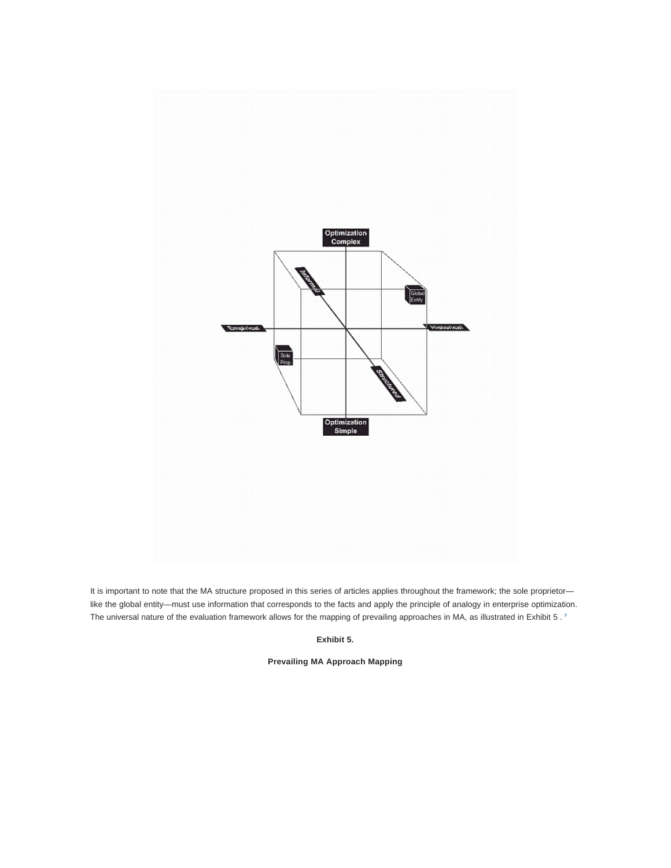

It is important to note that the MA structure proposed in this series of articles applies throughout the framework; the sole proprietorlike the global entity—must use information that corresponds to the facts and apply the principle of analogy in enterprise optimization. The universal nature of the evaluation framework allows for the mapping of prevailing approaches in MA, as illustrated in Exhibit 5 . **7**

**Exhibit 5.**

**Prevailing MA Approach Mapping**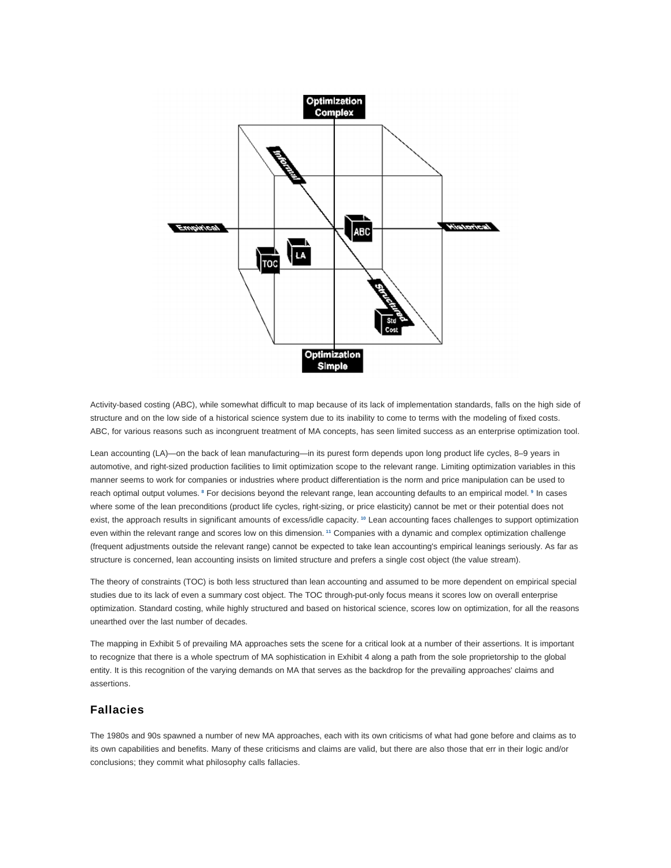

Activity-based costing (ABC), while somewhat difficult to map because of its lack of implementation standards, falls on the high side of structure and on the low side of a historical science system due to its inability to come to terms with the modeling of fixed costs. ABC, for various reasons such as incongruent treatment of MA concepts, has seen limited success as an enterprise optimization tool.

Lean accounting (LA)—on the back of lean manufacturing—in its purest form depends upon long product life cycles, 8–9 years in automotive, and right-sized production facilities to limit optimization scope to the relevant range. Limiting optimization variables in this manner seems to work for companies or industries where product differentiation is the norm and price manipulation can be used to reach optimal output volumes. <sup>8</sup> For decisions beyond the relevant range, lean accounting defaults to an empirical model. <sup>9</sup> In cases where some of the lean preconditions (product life cycles, right-sizing, or price elasticity) cannot be met or their potential does not exist, the approach results in significant amounts of excess/idle capacity. **<sup>10</sup>** Lean accounting faces challenges to support optimization even within the relevant range and scores low on this dimension. **<sup>11</sup>** Companies with a dynamic and complex optimization challenge (frequent adjustments outside the relevant range) cannot be expected to take lean accounting's empirical leanings seriously. As far as structure is concerned, lean accounting insists on limited structure and prefers a single cost object (the value stream).

The theory of constraints (TOC) is both less structured than lean accounting and assumed to be more dependent on empirical special studies due to its lack of even a summary cost object. The TOC through-put-only focus means it scores low on overall enterprise optimization. Standard costing, while highly structured and based on historical science, scores low on optimization, for all the reasons unearthed over the last number of decades.

The mapping in Exhibit 5 of prevailing MA approaches sets the scene for a critical look at a number of their assertions. It is important to recognize that there is a whole spectrum of MA sophistication in Exhibit 4 along a path from the sole proprietorship to the global entity. It is this recognition of the varying demands on MA that serves as the backdrop for the prevailing approaches' claims and assertions.

### **Fallacies**

The 1980s and 90s spawned a number of new MA approaches, each with its own criticisms of what had gone before and claims as to its own capabilities and benefits. Many of these criticisms and claims are valid, but there are also those that err in their logic and/or conclusions; they commit what philosophy calls fallacies.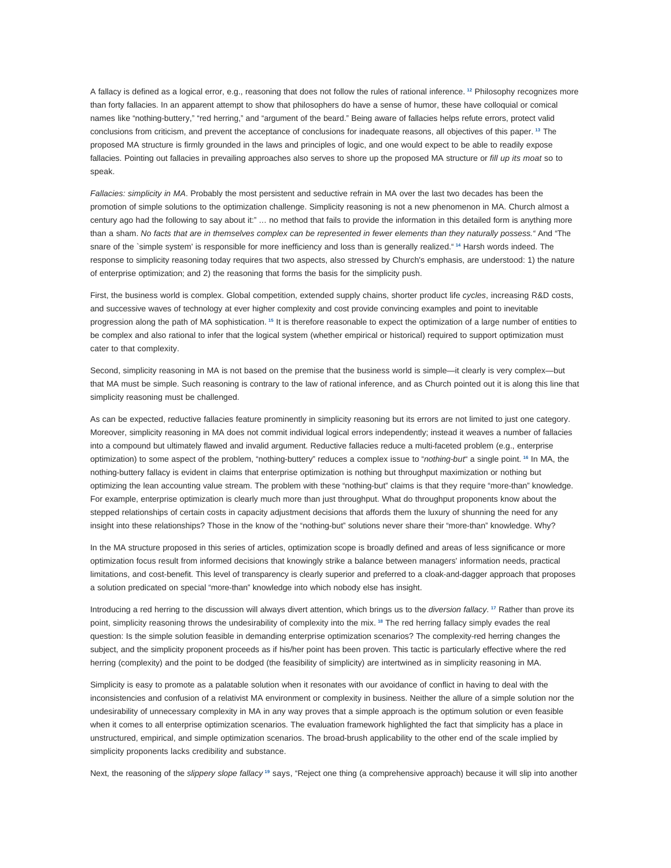A fallacy is defined as a logical error, e.g., reasoning that does not follow the rules of rational inference. **<sup>12</sup>** Philosophy recognizes more than forty fallacies. In an apparent attempt to show that philosophers do have a sense of humor, these have colloquial or comical names like "nothing-buttery," "red herring," and "argument of the beard." Being aware of fallacies helps refute errors, protect valid conclusions from criticism, and prevent the acceptance of conclusions for inadequate reasons, all objectives of this paper. **<sup>13</sup>** The proposed MA structure is firmly grounded in the laws and principles of logic, and one would expect to be able to readily expose fallacies. Pointing out fallacies in prevailing approaches also serves to shore up the proposed MA structure or fill up its moat so to speak.

Fallacies: simplicity in MA. Probably the most persistent and seductive refrain in MA over the last two decades has been the promotion of simple solutions to the optimization challenge. Simplicity reasoning is not a new phenomenon in MA. Church almost a century ago had the following to say about it:" ... no method that fails to provide the information in this detailed form is anything more than a sham. No facts that are in themselves complex can be represented in fewer elements than they naturally possess." And "The snare of the `simple system' is responsible for more inefficiency and loss than is generally realized." **<sup>14</sup>** Harsh words indeed. The response to simplicity reasoning today requires that two aspects, also stressed by Church's emphasis, are understood: 1) the nature of enterprise optimization; and 2) the reasoning that forms the basis for the simplicity push.

First, the business world is complex. Global competition, extended supply chains, shorter product life cycles, increasing R&D costs, and successive waves of technology at ever higher complexity and cost provide convincing examples and point to inevitable progression along the path of MA sophistication. **<sup>15</sup>** It is therefore reasonable to expect the optimization of a large number of entities to be complex and also rational to infer that the logical system (whether empirical or historical) required to support optimization must cater to that complexity.

Second, simplicity reasoning in MA is not based on the premise that the business world is simple—it clearly is very complex—but that MA must be simple. Such reasoning is contrary to the law of rational inference, and as Church pointed out it is along this line that simplicity reasoning must be challenged.

As can be expected, reductive fallacies feature prominently in simplicity reasoning but its errors are not limited to just one category. Moreover, simplicity reasoning in MA does not commit individual logical errors independently; instead it weaves a number of fallacies into a compound but ultimately flawed and invalid argument. Reductive fallacies reduce a multi-faceted problem (e.g., enterprise optimization) to some aspect of the problem, "nothing-buttery" reduces a complex issue to "nothing-but" a single point. **<sup>16</sup>** In MA, the nothing-buttery fallacy is evident in claims that enterprise optimization is nothing but throughput maximization or nothing but optimizing the lean accounting value stream. The problem with these "nothing-but" claims is that they require "more-than" knowledge. For example, enterprise optimization is clearly much more than just throughput. What do throughput proponents know about the stepped relationships of certain costs in capacity adjustment decisions that affords them the luxury of shunning the need for any insight into these relationships? Those in the know of the "nothing-but" solutions never share their "more-than" knowledge. Why?

In the MA structure proposed in this series of articles, optimization scope is broadly defined and areas of less significance or more optimization focus result from informed decisions that knowingly strike a balance between managers' information needs, practical limitations, and cost-benefit. This level of transparency is clearly superior and preferred to a cloak-and-dagger approach that proposes a solution predicated on special "more-than" knowledge into which nobody else has insight.

Introducing a red herring to the discussion will always divert attention, which brings us to the diversion fallacy. **<sup>17</sup>** Rather than prove its point, simplicity reasoning throws the undesirability of complexity into the mix. **<sup>18</sup>** The red herring fallacy simply evades the real question: Is the simple solution feasible in demanding enterprise optimization scenarios? The complexity-red herring changes the subject, and the simplicity proponent proceeds as if his/her point has been proven. This tactic is particularly effective where the red herring (complexity) and the point to be dodged (the feasibility of simplicity) are intertwined as in simplicity reasoning in MA.

Simplicity is easy to promote as a palatable solution when it resonates with our avoidance of conflict in having to deal with the inconsistencies and confusion of a relativist MA environment or complexity in business. Neither the allure of a simple solution nor the undesirability of unnecessary complexity in MA in any way proves that a simple approach is the optimum solution or even feasible when it comes to all enterprise optimization scenarios. The evaluation framework highlighted the fact that simplicity has a place in unstructured, empirical, and simple optimization scenarios. The broad-brush applicability to the other end of the scale implied by simplicity proponents lacks credibility and substance.

Next, the reasoning of the slippery slope fallacy **<sup>19</sup>** says, "Reject one thing (a comprehensive approach) because it will slip into another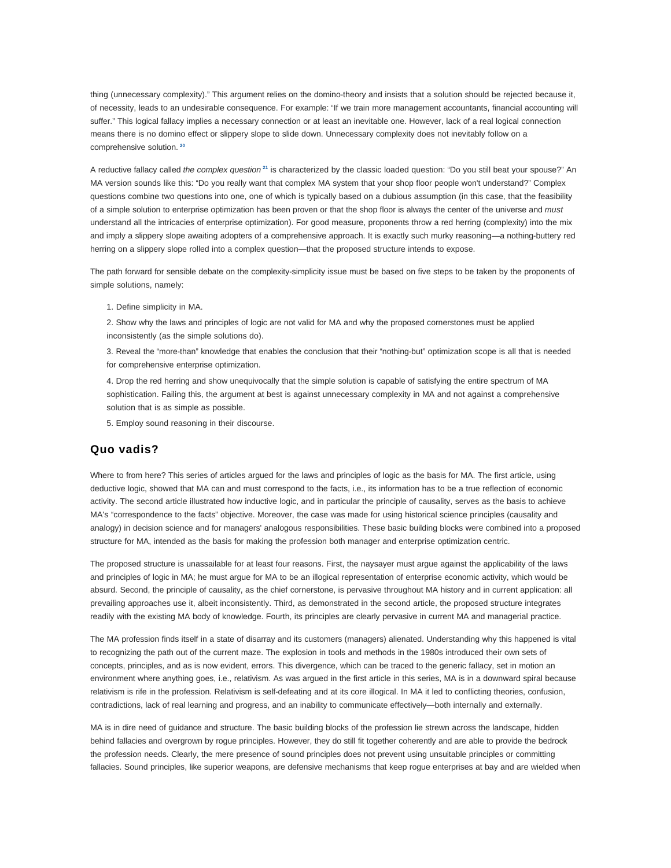thing (unnecessary complexity)." This argument relies on the domino-theory and insists that a solution should be rejected because it, of necessity, leads to an undesirable consequence. For example: "If we train more management accountants, financial accounting will suffer." This logical fallacy implies a necessary connection or at least an inevitable one. However, lack of a real logical connection means there is no domino effect or slippery slope to slide down. Unnecessary complexity does not inevitably follow on a comprehensive solution. **<sup>20</sup>**

A reductive fallacy called the complex question **<sup>21</sup>** is characterized by the classic loaded question: "Do you still beat your spouse?" An MA version sounds like this: "Do you really want that complex MA system that your shop floor people won't understand?" Complex questions combine two questions into one, one of which is typically based on a dubious assumption (in this case, that the feasibility of a simple solution to enterprise optimization has been proven or that the shop floor is always the center of the universe and must understand all the intricacies of enterprise optimization). For good measure, proponents throw a red herring (complexity) into the mix and imply a slippery slope awaiting adopters of a comprehensive approach. It is exactly such murky reasoning—a nothing-buttery red herring on a slippery slope rolled into a complex question—that the proposed structure intends to expose.

The path forward for sensible debate on the complexity-simplicity issue must be based on five steps to be taken by the proponents of simple solutions, namely:

1. Define simplicity in MA.

2. Show why the laws and principles of logic are not valid for MA and why the proposed cornerstones must be applied inconsistently (as the simple solutions do).

3. Reveal the "more-than" knowledge that enables the conclusion that their "nothing-but" optimization scope is all that is needed for comprehensive enterprise optimization.

4. Drop the red herring and show unequivocally that the simple solution is capable of satisfying the entire spectrum of MA sophistication. Failing this, the argument at best is against unnecessary complexity in MA and not against a comprehensive solution that is as simple as possible.

5. Employ sound reasoning in their discourse.

### **Quo vadis?**

Where to from here? This series of articles argued for the laws and principles of logic as the basis for MA. The first article, using deductive logic, showed that MA can and must correspond to the facts, i.e., its information has to be a true reflection of economic activity. The second article illustrated how inductive logic, and in particular the principle of causality, serves as the basis to achieve MA's "correspondence to the facts" objective. Moreover, the case was made for using historical science principles (causality and analogy) in decision science and for managers' analogous responsibilities. These basic building blocks were combined into a proposed structure for MA, intended as the basis for making the profession both manager and enterprise optimization centric.

The proposed structure is unassailable for at least four reasons. First, the naysayer must argue against the applicability of the laws and principles of logic in MA; he must argue for MA to be an illogical representation of enterprise economic activity, which would be absurd. Second, the principle of causality, as the chief cornerstone, is pervasive throughout MA history and in current application: all prevailing approaches use it, albeit inconsistently. Third, as demonstrated in the second article, the proposed structure integrates readily with the existing MA body of knowledge. Fourth, its principles are clearly pervasive in current MA and managerial practice.

The MA profession finds itself in a state of disarray and its customers (managers) alienated. Understanding why this happened is vital to recognizing the path out of the current maze. The explosion in tools and methods in the 1980s introduced their own sets of concepts, principles, and as is now evident, errors. This divergence, which can be traced to the generic fallacy, set in motion an environment where anything goes, i.e., relativism. As was argued in the first article in this series, MA is in a downward spiral because relativism is rife in the profession. Relativism is self-defeating and at its core illogical. In MA it led to conflicting theories, confusion, contradictions, lack of real learning and progress, and an inability to communicate effectively—both internally and externally.

MA is in dire need of guidance and structure. The basic building blocks of the profession lie strewn across the landscape, hidden behind fallacies and overgrown by rogue principles. However, they do still fit together coherently and are able to provide the bedrock the profession needs. Clearly, the mere presence of sound principles does not prevent using unsuitable principles or committing fallacies. Sound principles, like superior weapons, are defensive mechanisms that keep rogue enterprises at bay and are wielded when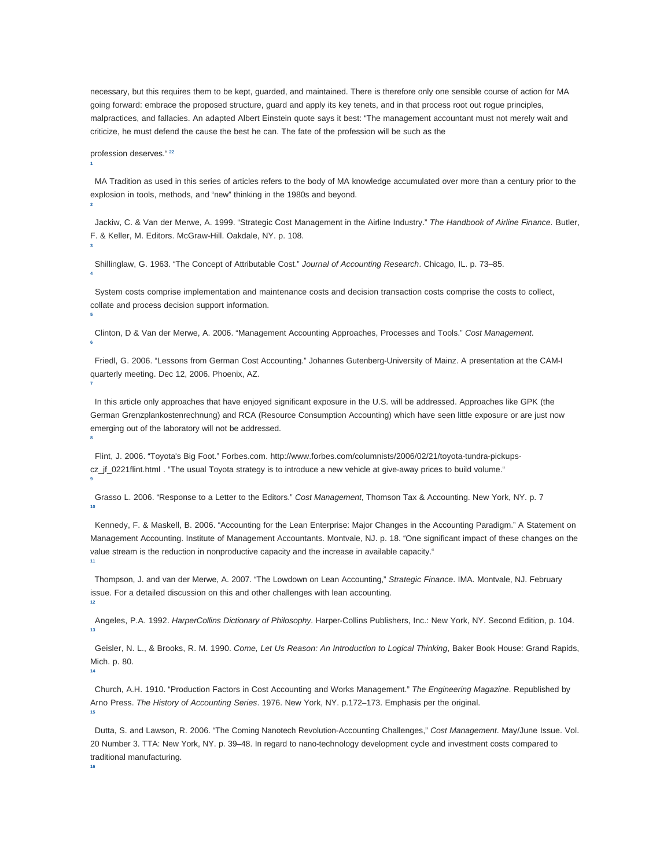necessary, but this requires them to be kept, guarded, and maintained. There is therefore only one sensible course of action for MA going forward: embrace the proposed structure, guard and apply its key tenets, and in that process root out rogue principles, malpractices, and fallacies. An adapted Albert Einstein quote says it best: "The management accountant must not merely wait and criticize, he must defend the cause the best he can. The fate of the profession will be such as the

profession deserves." **22**

**1**

**2**

**3**

**4**

**5**

**7**

**8**

 MA Tradition as used in this series of articles refers to the body of MA knowledge accumulated over more than a century prior to the explosion in tools, methods, and "new" thinking in the 1980s and beyond.

Jackiw, C. & Van der Merwe, A. 1999. "Strategic Cost Management in the Airline Industry." The Handbook of Airline Finance. Butler, F. & Keller, M. Editors. McGraw-Hill. Oakdale, NY. p. 108.

Shillinglaw, G. 1963. "The Concept of Attributable Cost." Journal of Accounting Research. Chicago, IL. p. 73–85.

 System costs comprise implementation and maintenance costs and decision transaction costs comprise the costs to collect, collate and process decision support information.

 Clinton, D & Van der Merwe, A. 2006. "Management Accounting Approaches, Processes and Tools." Cost Management. **6**

 Friedl, G. 2006. "Lessons from German Cost Accounting." Johannes Gutenberg-University of Mainz. A presentation at the CAM-I quarterly meeting. Dec 12, 2006. Phoenix, AZ.

 In this article only approaches that have enjoyed significant exposure in the U.S. will be addressed. Approaches like GPK (the German Grenzplankostenrechnung) and RCA (Resource Consumption Accounting) which have seen little exposure or are just now emerging out of the laboratory will not be addressed.

 Flint, J. 2006. "Toyota's Big Foot." Forbes.com. http://www.forbes.com/columnists/2006/02/21/toyota-tundra-pickupscz\_jf\_0221flint.html . "The usual Toyota strategy is to introduce a new vehicle at give-away prices to build volume." **9**

 Grasso L. 2006. "Response to a Letter to the Editors." Cost Management, Thomson Tax & Accounting. New York, NY. p. 7 **10**

 Kennedy, F. & Maskell, B. 2006. "Accounting for the Lean Enterprise: Major Changes in the Accounting Paradigm." A Statement on Management Accounting. Institute of Management Accountants. Montvale, NJ. p. 18. "One significant impact of these changes on the value stream is the reduction in nonproductive capacity and the increase in available capacity." **11**

 Thompson, J. and van der Merwe, A. 2007. "The Lowdown on Lean Accounting," Strategic Finance. IMA. Montvale, NJ. February issue. For a detailed discussion on this and other challenges with lean accounting. **12**

 Angeles, P.A. 1992. HarperCollins Dictionary of Philosophy. Harper-Collins Publishers, Inc.: New York, NY. Second Edition, p. 104. **13**

 Geisler, N. L., & Brooks, R. M. 1990. Come, Let Us Reason: An Introduction to Logical Thinking, Baker Book House: Grand Rapids, Mich. p. 80.

**14**

**16**

 Church, A.H. 1910. "Production Factors in Cost Accounting and Works Management." The Engineering Magazine. Republished by Arno Press. The History of Accounting Series. 1976. New York, NY. p.172–173. Emphasis per the original. **15**

 Dutta, S. and Lawson, R. 2006. "The Coming Nanotech Revolution-Accounting Challenges," Cost Management. May/June Issue. Vol. 20 Number 3. TTA: New York, NY. p. 39–48. In regard to nano-technology development cycle and investment costs compared to traditional manufacturing.